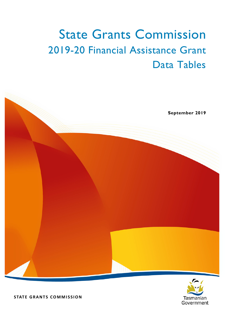# State Grants Commission 2019-20 Financial Assistance Grant Data Tables





**STATE GRANTS COMMISSION**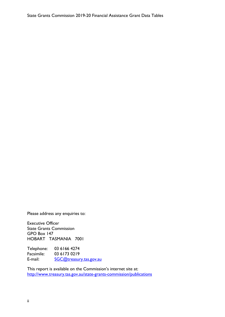Please address any enquiries to:

Executive Officer State Grants Commission GPO Box 147 HOBART TASMANIA 7001

Telephone: 03 6166 4274<br>Facsimile: 03 6173 0219 03 6173 0219 E-mail: [SGC@treasury.tas.gov.au](mailto:pam.marriott@treasury.tas.gov.au)

This report is available on the Commission's internet site at: <http://www.treasury.tas.gov.au/state-grants-commission/publications>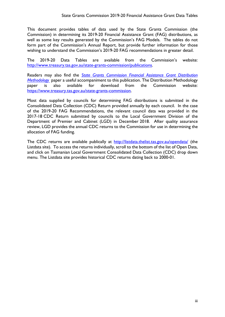This document provides tables of data used by the State Grants Commission (the Commission) in determining its 2019-20 Financial Assistance Grant (FAG) distributions, as well as some key results generated by the Commission's FAG Models. The tables do not form part of the Commission's Annual Report, but provide further information for those wishing to understand the Commission's 2019-20 FAG recommendations in greater detail.

The 2019-20 Data Tables are available from the Commission's website: [http://www.treasury.tas.gov.au/state-grants-commission/publications.](http://www.treasury.tas.gov.au/state-grants-commission/publications)

Readers may also find the *[State Grants Commission Financial Assistance Grant Distribution](https://www.treasury.tas.gov.au/Documents/Financial%20Assistance%20Grants%20Distribution%20Methodology%20Version%204%20(21%20Aug%202018).pdf)  [Methodology](https://www.treasury.tas.gov.au/Documents/Financial%20Assistance%20Grants%20Distribution%20Methodology%20Version%204%20(21%20Aug%202018).pdf)* paper a useful accompaniment to this publication. The Distribution Methodology paper is also available for download from the Commission website: [https://www.treasury.tas.gov.au/state-grants-commission.](https://www.treasury.tas.gov.au/state-grants-commission)

Most data supplied by councils for determining FAG distributions is submitted in the Consolidated Data Collection (CDC) Return provided annually by each council. In the case of the 2019-20 FAG Recommendations, the relevant council data was provided in the 2017-18 CDC Return submitted by councils to the Local Government Division of the Department of Premier and Cabinet (LGD) in December 2018. After quality assurance review, LGD provides the annual CDC returns to the Commission for use in determining the allocation of FAG funding.

The CDC returns are available publically at <http://listdata.thelist.tas.gov.au/opendata/> (the Listdata site). To access the returns individually, scroll to the bottom of the list of Open Data, and click on Tasmanian Local Government Consolidated Data Collection (CDC) drop down menu. The Listdata site provides historical CDC returns dating back to 2000-01.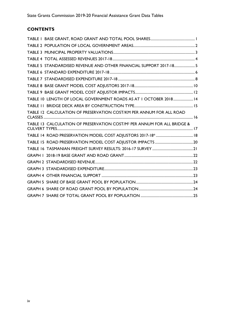## **CONTENTS**

| TABLE 5 STANDARDISED REVENUE AND OTHER FINANCIAL SUPPORT 2017-18 5                  |  |
|-------------------------------------------------------------------------------------|--|
|                                                                                     |  |
|                                                                                     |  |
|                                                                                     |  |
|                                                                                     |  |
| TABLE 10 LENGTH OF LOCAL GOVERNMENT ROADS AS AT 1 OCTOBER 2018 14                   |  |
|                                                                                     |  |
| TABLE 12 CALCULATION OF PRESERVATION COST/KM PER ANNUM FOR ALL ROAD                 |  |
| TABLE 13 CALCULATION OF PRESERVATION COST/M <sup>2</sup> PER ANNUM FOR ALL BRIDGE & |  |
|                                                                                     |  |
|                                                                                     |  |
|                                                                                     |  |
|                                                                                     |  |
|                                                                                     |  |
|                                                                                     |  |
|                                                                                     |  |
|                                                                                     |  |
|                                                                                     |  |
|                                                                                     |  |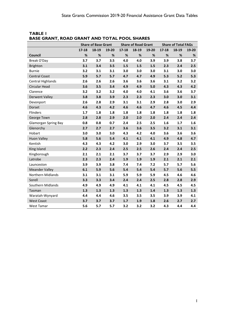|                             | <b>Share of Base Grant</b> |       | <b>Share of Road Grant</b> |           |       | <b>Share of Total FAGs</b> |           |       |       |
|-----------------------------|----------------------------|-------|----------------------------|-----------|-------|----------------------------|-----------|-------|-------|
|                             | $17 - 18$                  | 18-19 | 19-20                      | $17 - 18$ | 18-19 | 19-20                      | $17 - 18$ | 18-19 | 19-20 |
| <b>Council</b>              | $\%$                       | %     | $\%$                       | $\%$      | $\%$  | %                          | %         | $\%$  | %     |
| Break O'Day                 | 3.7                        | 3.7   | 3.5                        | 4.0       | 4.0   | 3.9                        | 3.9       | 3.8   | 3.7   |
| <b>Brighton</b>             | 3.1                        | 3.4   | 3.5                        | 1.5       | 1.5   | 1.5                        | 2.3       | 2.4   | 2.5   |
| <b>Burnie</b>               | 3.2                        | 3.1   | 3.1                        | 3.0       | 3.0   | 3.0                        | 3.1       | 3.0   | 3.0   |
| <b>Central Coast</b>        | 5.9                        | 5.7   | 5.7                        | 4.7       | 4.7   | 4.9                        | 5.3       | 5.2   | 5.3   |
| <b>Central Highlands</b>    | 2.6                        | 2.6   | 2.6                        | 3.6       | 3.6   | 3.6                        | 3.1       | 3.2   | 3.2   |
| <b>Circular Head</b>        | 3.6                        | 3.5   | 3.4                        | 4.9       | 4.9   | 5.0                        | 4.3       | 4.3   | 4.2   |
| Clarence                    | 3.2                        | 3.2   | 3.2                        | 4.0       | 4.0   | 4.1                        | 3.6       | 3.6   | 3.7   |
| <b>Derwent Valley</b>       | 3.8                        | 3.8   | 3.9                        | 2.3       | 2.3   | 2.3                        | 3.0       | 3.0   | 3.1   |
| Devonport                   | 2.6                        | 2.8   | 2.9                        | 3.1       | 3.1   | 2.9                        | 2.8       | 3.0   | 2.9   |
| Dorset                      | 4.6                        | 4.3   | 4.2                        | 4.6       | 4.6   | 4.7                        | 4.6       | 4.5   | 4.4   |
| Flinders                    | 1.7                        | 1.8   | 1.8                        | 1.8       | 1.8   | 1.8                        | 1.8       | 1.8   | 1.8   |
| George Town                 | 2.8                        | 2.8   | 2.9                        | 2.0       | 2.0   | 2.0                        | 2.4       | 2.4   | 2.4   |
| <b>Glamorgan Spring Bay</b> | 0.8                        | 0.8   | 0.7                        | 2.4       | 2.5   | 2.5                        | 1.6       | 1.7   | 1.6   |
| Glenorchy                   | 2.7                        | 2.7   | 2.7                        | 3.6       | 3.6   | 3.5                        | 3.2       | 3.1   | 3.1   |
| Hobart                      | 3.0                        | 3.0   | 3.0                        | 4.3       | 4.2   | 4.0                        | 3.6       | 3.6   | 3.6   |
| <b>Huon Valley</b>          | 5.8                        | 5.6   | 5.4                        | 4.1       | 4.1   | 4.1                        | 4.9       | 4.8   | 4.7   |
| Kentish                     | 4.3                        | 4.3   | 4.2                        | 3.0       | 2.9   | 3.0                        | 3.7       | 3.5   | 3.5   |
| King Island                 | 2.2                        | 2.3   | 2.4                        | 2.5       | 2.5   | 2.6                        | 2.4       | 2.4   | 2.5   |
| Kingborough                 | 2.1                        | 2.1   | 2.1                        | 3.7       | 3.7   | 3.7                        | 2.9       | 2.9   | 3.0   |
| Latrobe                     | 2.3                        | 2.3   | 2.4                        | 1.9       | 1.9   | 1.9                        | 2.1       | 2.1   | 2.1   |
| Launceston                  | 3.9                        | 3.9   | 3.8                        | 7.4       | 7.4   | 7.2                        | 5.7       | 5.7   | 5.6   |
| <b>Meander Valley</b>       | 6.1                        | 5.9   | 5.6                        | 5.4       | 5.4   | 5.4                        | 5.7       | 5.6   | 5.5   |
| Northern Midlands           | 3.1                        | 3.1   | 3.1                        | 5.9       | 5.9   | 5.9                        | 4.5       | 4.6   | 4.6   |
| Sorell                      | 3.3                        | 3.3   | 3.4                        | 2.4       | 2.4   | 2.5                        | 2.8       | 2.8   | 2.9   |
| Southern Midlands           | 4.9                        | 4.9   | 4.9                        | 4.1       | 4.1   | 4.1                        | 4.5       | 4.5   | 4.5   |
| Tasman                      | 1.3                        | 1.3   | 1.3                        | 1.3       | 1.3   | 1.4                        | 1.3       | 1.3   | 1.3   |
| Waratah-Wynyard             | 4.4                        | 4.4   | 4.6                        | 3.5       | 3.5   | 3.5                        | 3.9       | 3.9   | 4.1   |
| <b>West Coast</b>           | 3.7                        | 3.7   | 3.7                        | 1.7       | 1.9   | 1.8                        | 2.6       | 2.7   | 2.7   |
| West Tamar                  | 5.6                        | 5.7   | 5.7                        | 3.2       | 3.2   | 3.2                        | 4.3       | 4.4   | 4.4   |

<span id="page-4-0"></span>**TABLE 1 BASE GRANT, ROAD GRANT AND TOTAL POOL SHARES**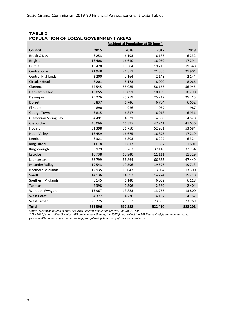#### <span id="page-5-0"></span>**TABLE 2 POPULATION OF LOCAL GOVERNMENT AREAS**

|                             | <b>Residential Population at 30 June *</b> |         |         |         |  |  |
|-----------------------------|--------------------------------------------|---------|---------|---------|--|--|
| <b>Council</b>              | 2015                                       | 2016    | 2017    | 2018    |  |  |
| Break O'Day                 | 6 2 5 3                                    | 6 1 9 3 | 6 1 8 6 | 6 2 3 2 |  |  |
| <b>Brighton</b>             | 16 408                                     | 16 610  | 16 959  | 17 294  |  |  |
| <b>Burnie</b>               | 19 4 78                                    | 19 304  | 19 213  | 19 348  |  |  |
| <b>Central Coast</b>        | 21948                                      | 21851   | 21835   | 21 904  |  |  |
| <b>Central Highlands</b>    | 2 2 0 0                                    | 2 1 6 4 | 2 1 4 8 | 2 1 4 4 |  |  |
| Circular Head               | 8 2 0 1                                    | 8 1 7 3 | 8 0 9 0 | 8066    |  |  |
| Clarence                    | 54 545                                     | 55 085  | 56 166  | 56 945  |  |  |
| <b>Derwent Valley</b>       | 10 0 55                                    | 10 091  | 10 169  | 10 290  |  |  |
| Devonport                   | 25 276                                     | 25 25 9 | 25 217  | 25 4 15 |  |  |
| Dorset                      | 6837                                       | 6746    | 6 704   | 6652    |  |  |
| Flinders                    | 890                                        | 926     | 957     | 987     |  |  |
| George Town                 | 6815                                       | 6817    | 6918    | 6931    |  |  |
| <b>Glamorgan Spring Bay</b> | 4 4 9 1                                    | 4521    | 4 500   | 4528    |  |  |
| Glenorchy                   | 46 066                                     | 46 397  | 47 241  | 47 636  |  |  |
| Hobart                      | 51 3 98                                    | 51 750  | 52 901  | 53 684  |  |  |
| <b>Huon Valley</b>          | 16 459                                     | 16 675  | 16875   | 17 219  |  |  |
| Kentish                     | 6321                                       | 6 3 0 3 | 6 2 9 7 | 6324    |  |  |
| King Island                 | 1618                                       | 1617    | 1 5 9 2 | 1601    |  |  |
| Kingborough                 | 35 9 29                                    | 36 26 3 | 37 148  | 37734   |  |  |
| Latrobe                     | 10738                                      | 10 940  | 11 111  | 11 3 29 |  |  |
| Launceston                  | 66 799                                     | 66 864  | 66 855  | 67 449  |  |  |
| <b>Meander Valley</b>       | 19543                                      | 19 5 96 | 19 5 76 | 19713   |  |  |
| <b>Northern Midlands</b>    | 12 9 35                                    | 13 043  | 13 084  | 13 300  |  |  |
| Sorell                      | 14 136                                     | 14 3 93 | 14 7 74 | 15 2 18 |  |  |
| Southern Midlands           | 6 1 4 5                                    | 6 1 4 0 | 6052    | 6 1 1 8 |  |  |
| Tasman                      | 2 3 9 8                                    | 2 3 9 6 | 2 3 8 9 | 2 4 0 4 |  |  |
| Waratah-Wynyard             | 13 967                                     | 13883   | 13 756  | 13 800  |  |  |
| <b>West Coast</b>           | 4 3 2 2                                    | 4 2 3 6 | 4 1 6 2 | 4 1 6 7 |  |  |
| <b>West Tamar</b>           | 23 2 25                                    | 23 352  | 23 5 35 | 23 769  |  |  |
| <b>Total</b>                | 515 396                                    | 517 588 | 522 410 | 528 201 |  |  |

*Source: Australian Bureau of Statistics (ABS) Regional Population Growth, Cat. No. 3218.0.* 

*\* The 2018 figures reflect the latest ABS preliminary estimates, the 2017 figures reflect the ABS final revised figures whereas earlier years are ABS revised population estimate figures following its rebasing of the intercensal error.*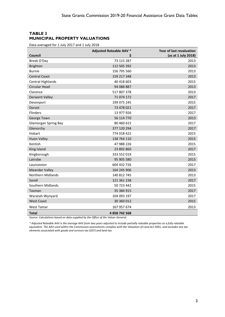## <span id="page-6-0"></span>**TABLE 3 MUNICIPAL PROPERTY VALUATIONS**

Data averaged for 1 July 2017 and 1 July 2018

|                             | <b>Adjusted Rateable AAV *</b> | Year of last revaluation |
|-----------------------------|--------------------------------|--------------------------|
| <b>Council</b>              | \$                             | (as at 1 July 2018)      |
| Break O'Day                 | 73 115 287                     | 2013                     |
| <b>Brighton</b>             | 112 505 392                    | 2013                     |
| <b>Burnie</b>               | 156 795 560                    | 2013                     |
| <b>Central Coast</b>        | 159 217 348                    | 2013                     |
| <b>Central Highlands</b>    | 40 418 603                     | 2015                     |
| Circular Head               | 94 088 887                     | 2013                     |
| Clarence                    | 517 807 378                    | 2013                     |
| <b>Derwent Valley</b>       | 71 074 172                     | 2017                     |
| Devonport                   | 199 075 245                    | 2015                     |
| Dorset                      | 73 478 021                     | 2017                     |
| <b>Flinders</b>             | 13 977 926                     | 2017                     |
| George Town                 | 56 114 770                     | 2013                     |
| <b>Glamorgan Spring Bay</b> | 80 460 615                     | 2017                     |
| Glenorchy                   | 377 120 294                    | 2017                     |
| Hobart                      | 774 018 422                    | 2015                     |
| <b>Huon Valley</b>          | 138 764 110                    | 2015                     |
| Kentish                     | 47 988 226                     | 2015                     |
| King Island                 | 23 892 860                     | 2017                     |
| Kingborough                 | 333 552 019                    | 2015                     |
| Latrobe                     | 95 905 580                     | 2015                     |
| Launceston                  | 604 432 726                    | 2017                     |
| <b>Meander Valley</b>       | 164 245 906                    | 2013                     |
| <b>Northern Midlands</b>    | 140 812 745                    | 2013                     |
| Sorell                      | 121 361 238                    | 2017                     |
| Southern Midlands           | 50 723 442                     | 2015                     |
| Tasman                      | 35 384 915                     | 2017                     |
| Waratah-Wynyard             | 104 093 197                    | 2017                     |
| <b>West Coast</b>           | 30 360 012                     | 2015                     |
| West Tamar                  | 167 957 674                    | 2013                     |
| <b>Total</b>                | 4858742568                     |                          |

*Source: Calculations based on data supplied by the Office of the Valuer-General.*

*\* Adjusted Rateable AAV is the average AAV from two years adjusted to include partially rateable properties as a fully rateable equivalent. The AAV used within the Commission assessments complies with the Valuation of Land Act 2001, and excludes any tax elements associated with goods and services tax (GST) and land tax.*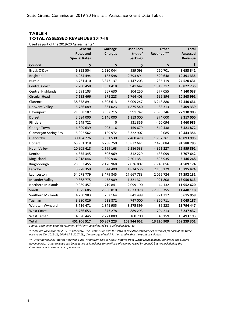## <span id="page-7-0"></span>**TABLE 4 TOTAL ASSESSED REVENUES 2017-18**

Used as part of the 2019-20 Assessments\*

|                             | General              | Garbage        | <b>User Fees</b> | <b>Other</b> | <b>Total</b>    |
|-----------------------------|----------------------|----------------|------------------|--------------|-----------------|
|                             | <b>Rates and</b>     | <b>Charges</b> | (net of          | Revenue **   | <b>Assessed</b> |
|                             | <b>Special Rates</b> |                | parking)         |              | Revenue         |
| Council                     | \$                   | \$             | \$               | \$           | \$              |
| Break O'Day                 | 6 853 504            | 1580044        | 959 093          | 260 701      | 9 653 342       |
| <b>Brighton</b>             | 6 934 494            | 1 183 598      | 2 793 891        | $-520648$    | 10 391 335      |
| <b>Burnie</b>               | 16 731 410           | 3 877 137      | 4 147 203        | $-235119$    | 24 520 631      |
| <b>Central Coast</b>        | 12 700 458           | 1661418        | 3 941 642        | 1519217      | 19 822 735      |
| <b>Central Highlands</b>    | 2 691 103            | 567 630        | 304 250          | 577055       | 4 140 038       |
| Circular Head               | 7 132 466            | 971 228        | 1764 403         | 695 894      | 10 563 991      |
| Clarence                    | 38 378 891           | 4 803 613      | 6 009 247        | 3 248 880    | 52 440 631      |
| <b>Derwent Valley</b>       | 5786089              | 831023         | 1875 540         | $-83313$     | 8 409 339       |
| Devonport                   | 21 068 187           | 3 5 6 7 2 1 5  | 3 991 747        | $-696246$    | 27 930 903      |
| Dorset                      | 5 684 000            | 1 146 000      | 1 1 1 3 0 0 0    | 374 000      | 8 317 000       |
| Flinders                    | 1 549 722            | 0              | 931 356          | $-20094$     | 2 460 985       |
| George Town                 | 6 809 639            | 903 116        | 159 679          | 549 438      | 8 4 2 1 8 7 2   |
| <b>Glamorgan Spring Bay</b> | 5 992 562            | 1 129 972      | 3 3 2 2 9 0 7    | $-2085$      | 10 443 356      |
| Glenorchy                   | 30 184 776           | 3 661 530      | 7 460 428        | 1787261      | 43 093 995      |
| Hobart                      | 65 951 318           | 6 288 750      | 16 872 641       | 2 476 084    | 91 588 793      |
| <b>Huon Valley</b>          | 10 905 418           | 1 129 163      | 5 286 538        | $-361227$    | 16 959 892      |
| Kentish                     | 4 3 5 5 3 4 5        | 606 969        | 312 229          | 433 099      | 5 707 642       |
| King Island                 | 2 018 046            | 329 936        | 2 201 351        | 596 935      | 5 146 268       |
| Kingborough                 | 23 053 455           | 2 176 968      | 7026807          | $-748056$    | 31 509 174      |
| Latrobe                     | 5 978 359            | 844 400        | 1834536          | 2 138 179    | 10 795 474      |
| Launceston                  | 54 078 779           | 3 479 845      | 17 667 783       | 2 065 724    | 77 292 131      |
| <b>Meander Valley</b>       | 9 3 68 7 7 5         | 1 438 909      | 1 3 2 1 3 2 1    | 921 808      | 13 050 813      |
| <b>Northern Midlands</b>    | 9 0 8 9 4 5 7        | 719841         | 2 099 190        | 44 132       | 11 952 620      |
| Sorell                      | 10 675 685           | 2 086 810      | 1633978          | $-2956355$   | 11 440 118      |
| Southern Midlands           | 4750983              | 252 164        | 841 499          | 771312       | 6 615 959       |
| Tasman                      | 3 980 026            | 638 872        | 747 000          | $-320711$    | 5 045 187       |
| Waratah-Wynyard             | 8716471              | 1841905        | 3 275 399        | $-39328$     | 13 794 447      |
| <b>West Coast</b>           | 5766653              | 877 278        | 889 293          | 704 213      | 8 237 437       |
| <b>West Tamar</b>           | 14 020 445           | 2 271 889      | 3 160 700        | 40 159       | 19 493 193      |
| Total                       | 401 206 517          | 50 867 223     | 103 944 652      | 13 220 909   | 569 239 301     |

*Source: Tasmanian Local Government Division – Consolidated Data Collection 2017-18*

*\* These are values for the 2017-18 year only. The Commission uses this data to calculate standardised revenues for each of the three base years (i.e. 2015-16, 2016-17 & 2017-18), the average of which is then used within the grant calculation.*

*\*\* Other Revenue is: Interest Received, Fines, Profit from Sale of Assets, Returns from Waste Management Authorities and Current Revenue NEC. Other revenue can be negative as it includes some offsets of revenue raised by Council, but not included by the Commission in its assessment of revenues.*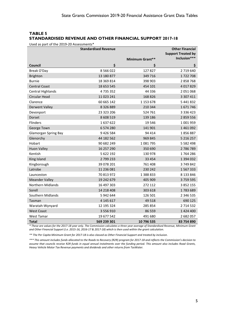## <span id="page-8-0"></span>**TABLE 5 STANDARDISED REVENUE AND OTHER FINANCIAL SUPPORT 2017-18**

Used as part of the 2019-20 Assessments\*

|                             | <b>Standardised Revenue</b> |                 | <b>Other Financial</b><br><b>Support Treated by</b> |
|-----------------------------|-----------------------------|-----------------|-----------------------------------------------------|
|                             |                             | Minimum Grant** | Inclusion***                                        |
| Council                     | \$                          | S               | S                                                   |
| Break O'Day                 | 8 5 6 0 2 2                 | 127827          | 2719640                                             |
| <b>Brighton</b>             | 13 180 877                  | 349 716         | 1722708                                             |
| <b>Burnie</b>               | 18 369 814                  | 398 903         | 2 858 768                                           |
| <b>Central Coast</b>        | 18 653 545                  | 454 101         | 4 017 829                                           |
| Central Highlands           | 4735352                     | 44 3 36         | 2 051 068                                           |
| Circular Head               | 11 023 241                  | 168 826         | 3 307 411                                           |
| Clarence                    | 60 665 142                  | 1 153 678       | 5 441 832                                           |
| <b>Derwent Valley</b>       | 8 3 2 6 8 8 9               | 210 344         | 1671746                                             |
| Devonport                   | 23 323 206                  | 524 761         | 3 3 3 6 4 2 3                                       |
| Dorset                      | 8 608 519                   | 139 186         | 2 859 556                                           |
| Flinders                    | 1637622                     | 19546           | 1 001 959                                           |
| George Town                 | 6 574 280                   | 141 901         | 1 461 092                                           |
| <b>Glamorgan Spring Bay</b> | 9 4 2 6 5 8 4               | 94 4 14         | 1856887                                             |
| Glenorchy                   | 44 182 562                  | 969 845         | 5 216 257                                           |
| Hobart                      | 90 682 249                  | 1081795         | 5 5 8 2 4 9 8                                       |
| <b>Huon Valley</b>          | 16 257 290                  | 350 690         | 2786789                                             |
| Kentish                     | 5 622 192                   | 130 978         | 1764286                                             |
| King Island                 | 2799233                     | 33 4 54         | 1 394 032                                           |
| Kingborough                 | 39 078 201                  | 761 408         | 3749842                                             |
| Latrobe                     | 11 236 081                  | 230 242         | 1 567 333                                           |
| Launceston                  | 70 813 972                  | 1 388 833       | 8 133 846                                           |
| <b>Meander Valley</b>       | 19 242 679                  | 405 909         | 3759595                                             |
| Northern Midlands           | 16 497 303                  | 272 112         | 3 852 155                                           |
| Sorell                      | 14 218 408                  | 303 618         | 1783689                                             |
| Southern Midlands           | 5 942 644                   | 126 501         | 2 346 535                                           |
| Tasman                      | 4 145 617                   | 49 5 18         | 690 125                                             |
| Waratah-Wynyard             | 12 195 324                  | 285 854         | 2 714 532                                           |
| <b>West Coast</b>           | 3 556 910                   | 86 559          | 1 424 400                                           |
| <b>West Tamar</b>           | 19 677 542                  | 491 680         | 2 682 057                                           |
| Total                       | 569 239 301                 | 10 796 535      | 83 754 890                                          |

*\* These are values for the 2017-18 year only. The Commission calculates a three year average of Standardised Revenue, Minimum Grant and Other Financial Support (i.e. 2015-16, 2016-17 & 2017-18) which is then used within the grant calculation.*

*\*\* The Per Capita Minimum Grant for 2017-18 is also classed as Other Financial Support and treated by inclusion.* 

*\*\*\* This amount includes funds allocated to the Roads to Recovery (R2R) program for 2017-18 and reflects the Commission's decision to assume that councils receive R2R funds in equal annual instalments over the funding period. This amount also includes Road Grants, Heavy Vehicle Motor Tax Revenue payments and dividends and other returns from TasWater.*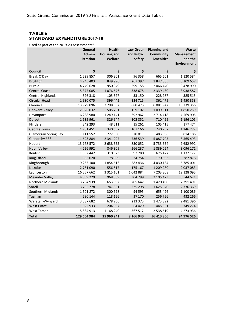## <span id="page-9-0"></span>**TABLE 6 STANDARD EXPENDITURE 2017-18**

Used as part of the 2019-20 Assessments\*

|                             | General       | <b>Health</b>      | Law Order     | <b>Planning and</b> | Waste              |
|-----------------------------|---------------|--------------------|---------------|---------------------|--------------------|
|                             | Admin-        | <b>Housing and</b> | and Public    | <b>Community</b>    | <b>Management</b>  |
|                             | istration     | Welfare            | <b>Safety</b> | <b>Amenities</b>    | and the            |
|                             |               |                    |               |                     | <b>Environment</b> |
| <b>Council</b>              | \$            | \$                 | \$            | \$                  | \$                 |
| Break O'Day                 | 1529857       | 306 301            | 96 358        | 665 601             | 1 120 584          |
| <b>Brighton</b>             | 4 245 403     | 849 996            | 267 397       | 1847065             | 3 109 657          |
| <b>Burnie</b>               | 4749628       | 950 949            | 299 155       | 2 066 440           | 3 478 990          |
| <b>Central Coast</b>        | 5 377 085     | 1076576            | 338 675       | 2 339 430           | 3 938 587          |
| <b>Central Highlands</b>    | 526 318       | 105 377            | 33 150        | 228 987             | 385 515            |
| Circular Head               | 1980075       | 396 442            | 124 715       | 861 479             | 1 450 358          |
| Clarence                    | 13 979 096    | 2798832            | 880 473       | 6 081 942           | 10 239 356         |
| <b>Derwent Valley</b>       | 2 5 2 6 0 3 2 | 505 751            | 159 102       | 1 099 011           | 1850259            |
| Devonport                   | 6 238 980     | 1 249 141          | 392 962       | 2 714 418           | 4 5 6 9 9 0 5      |
| Dorset                      | 1632961       | 326 944            | 102 852       | 710 459             | 1 196 105          |
| Flinders                    | 242 293       | 48 511             | 15 26 1       | 105 415             | 177 474            |
| George Town                 | 1701451       | 340 657            | 107 166       | 740 257             | 1 246 272          |
| <b>Glamorgan Spring Bay</b> | 1 111 552     | 222 550            | 70 011        | 483 608             | 814 186            |
| Glenorchy ***               | 11 693 884    | 2 341 297          | 736 539       | 5 087 705           | 8 5 6 5 4 9 3      |
| Hobart                      | 13 178 572    | 2 638 555          | 830 052       | 5733654             | 9652992            |
| <b>Huon Valley</b>          | 4 226 992     | 846 309            | 266 237       | 1839054             | 3 096 171          |
| Kentish                     | 1552442       | 310823             | 97 780        | 675 427             | 1 137 127          |
| King Island                 | 393 020       | 78 689             | 24 754        | 170 993             | 287878             |
| Kingborough                 | 9 2 6 3 10 0  | 1854616            | 583 436       | 4 030 134           | 6785001            |
| Latrobe                     | 2781090       | 556 817            | 175 167       | 1 209 980           | 2 037 083          |
| Launceston                  | 16 557 662    | 3 3 1 5 1 0 1      | 1042884       | 7 203 808           | 12 128 095         |
| <b>Meander Valley</b>       | 4 839 229     | 968 889            | 304 799       | 2 105 423           | 3 544 621          |
| Northern Midlands           | 3 264 939     | 653 692            | 205 642       | 1 420 490           | 2 391 491          |
| Sorell                      | 3735778       | 747 961            | 235 298       | 1625340             | 2736369            |
| Southern Midlands           | 1501872       | 300 698            | 94 5 95       | 653 426             | 1 100 086          |
| Tasman                      | 590 144       | 118 156            | 37 170        | 256 756             | 432 266            |
| Waratah-Wynyard             | 3 3 8 7 6 8 2 | 678 266            | 213 373       | 1 473 892           | 2 481 396          |
| <b>West Coast</b>           | 1022933       | 204 807            | 64 429        | 445 051             | 749 274            |
| <b>West Tamar</b>           | 5 834 913     | 1 168 240          | 367 512       | 2 538 619           | 4 273 936          |
| Total                       | 129 664 984   | 25 960 941         | 8 166 943     | 56 413 866          | 94 976 526         |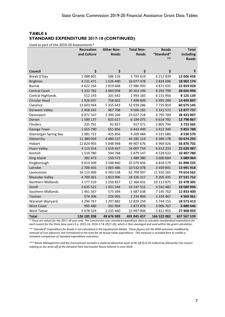## **TABLE 6 STANDARD EXPENDITURE 2017-18 (CONTINUED)**

Used as part of the 2019-20 Assessments\*

|                             | Recreation    | <b>Other Non-</b> | <b>Total Non-</b> | <b>Roads</b>  | <b>Total</b> |
|-----------------------------|---------------|-------------------|-------------------|---------------|--------------|
|                             | and Culture   | <b>Roads</b>      | <b>Roads</b>      | "Standard"    | including    |
|                             |               |                   |                   | $**$          | <b>Roads</b> |
|                             |               |                   |                   |               |              |
| <b>Council</b>              | \$            | \$                | \$                | \$            | \$           |
| Break O'Day                 | 1488801       | 586 116           | 5793619           | 6 212 839     | 12 006 458   |
| <b>Brighton</b>             | 4 131 471     | 1626490           | 16 077 478        | 2 8 2 4 6 9 6 | 18 902 174   |
| <b>Burnie</b>               | 4 622 164     | 1819668           | 17 986 993        | 4 872 035     | 22 859 028   |
| <b>Central Coast</b>        | 5 232 782     | 2 060 058         | 20 363 194        | 8 293 799     | 28 656 994   |
| <b>Central Highlands</b>    | 512 193       | 201 642           | 1993 183          | 6 131 956     | 8 125 139    |
| Circular Head               | 1926937       | 758 602           | 7 498 609         | 6 995 289     | 14 493 897   |
| Clarence                    | 13 603 944    | 5 3 5 5 6 4 3     | 52 939 286        | 7735859       | 60 675 145   |
| <b>Derwent Valley</b>       | 2 458 242     | 967 768           | 9 5 6 1 6 5       | 3 3 1 5 7 2   | 12 877 737   |
| Devonport                   | 6 071 547     | 2 390 266         | 23 627 218        | 4795789       | 28 423 007   |
| Dorset                      | 1 589 137     | 625 617           | 6 184 075         | 6 6 14 7 9 2  | 12 798 867   |
| <b>Flinders</b>             | 235 791       | 92 827            | 917 571           | 2 805 794     | 3723365      |
| George Town                 | 1655790       | 651856            | 6 443 449         | 3 412 340     | 9855788      |
| <b>Glamorgan Spring Bay</b> | 1081722       | 425 856           | 4 209 484         | 4 3 2 1 0 8 6 | 8 530 570    |
| Glenorchy                   | 11 380 059    | 4 480 137         | 44 285 114        | 6 389 178     | 50 674 292   |
| Hobart                      | 12 824 903    | 5 048 948         | 49 907 676        | 6 9 69 0 26   | 56 876 702   |
| <b>Huon Valley</b>          | 4 113 554     | 1619437           | 16 007 754        | 6 613 233     | 22 620 987   |
| Kentish                     | 1510780       | 594 768           | 5 879 147         | 4 5 28 6 32   | 10 407 780   |
| King Island                 | 382 473       | 150 573           | 1488380           | 3 600 684     | 5 089 064    |
| Kingborough                 | 9 0 1 4 5 0 9 | 3 548 860         | 35 079 656        | 6 818 579     | 41 898 235   |
| Latrobe                     | 2 706 455     | 1065486           | 10 532 078        | 3 459 841     | 13 991 918   |
| Launceston                  | 16 113 309    | 6 343 538         | 62 704 397        | 11 910 165    | 74 614 562   |
| <b>Meander Valley</b>       | 4709361       | 1853996           | 18 326 317        | 9 205 435     | 27 531 752   |
| <b>Northern Midlands</b>    | 3 177 319     | 1 250 857         | 12 364 431        | 10 113 875    | 22 478 305   |
| Sorell                      | 3 635 522     | 1 431 244         | 14 147 512        | 4 542 482     | 18 689 994   |
| Southern Midlands           | 1461567       | 575 394           | 5 687 638         | 7 145 762     | 12 833 400   |
| Tasman                      | 574 306       | 226 095           | 2 2 3 4 8 9 4     | 2 3 3 4 4 6 7 | 4 569 361    |
| Waratah-Wynyard             | 3 296 767     | 1 297 882         | 12 829 259        | 5 744 155     | 18 573 413   |
| <b>West Coast</b>           | 995 480       | 391 904           | 3 873 878         | 3 006 767     | 6 880 646    |
| <b>West Tamar</b>           | 5 678 324     | 2 235 460         | 22 097 004        | 5 811 955     | 27 908 959   |
| Total                       | 126 185 208   | 49 676 989        | 491 045 457       | 166 522 082   | 657 567 539  |

*\* These are values for the 2017-18 year only. The Commission uses standard expenditure data to calculate standardised expenditure for each council for the three base years (i.e. 2015-16, 2016-17 & 2017-18), which is then averaged and used within the grant calculation.*

*\*\* "Standard" Expenditure for Roads is not calculated in the Equalisation Model. These figures are the RPM outcomes modified by removal of cost adjustors and normalised to the total for all actual roads expenditure. This measure is included here to enable a complete comparison of standard expenditure outcomes.*

*\*\*\* Waste Management and the Environment excludes a material abnormal asset write off (\$12.45 million) by Glenorchy City Council relating to the write off of the Derwent Park Stormwater Reuse Scheme in June 2018.*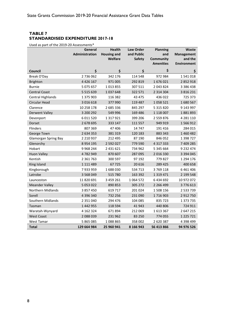## <span id="page-11-0"></span>**TABLE 7 STANDARDISED EXPENDITURE 2017-18**

Used as part of the 2019-20 Assessments\*

|                             | General               | <b>Health</b>      | <b>Law Order</b>   | <b>Planning</b>                      | Waste                         |
|-----------------------------|-----------------------|--------------------|--------------------|--------------------------------------|-------------------------------|
|                             | <b>Administration</b> | <b>Housing and</b> | and Public         | and                                  | <b>Management</b>             |
|                             |                       | Welfare            | <b>Safety</b>      | <b>Community</b><br><b>Amenities</b> | and the<br><b>Environment</b> |
|                             |                       |                    |                    |                                      |                               |
| Council                     | \$                    | \$                 | $\dot{\mathsf{S}}$ | \$                                   | \$                            |
| Break O'Day                 | 2736062               | 342 176            | 114 548            | 972 984                              | 1541018                       |
| <b>Brighton</b>             | 4 4 2 6 1 6 7         | 971 005            | 292 819            | 1676021                              | 2 852 918                     |
| <b>Burnie</b>               | 5 075 657             | 1013855            | 307 511            | 2 043 824                            | 3 386 438                     |
| <b>Central Coast</b>        | 5 5 1 5 6 3 9         | 1037648            | 322 571            | 2 3 1 4 3 0 4                        | 3 8 1 6 2 3 1                 |
| Central Highlands           | 1 375 903             | 116 382            | 43 475             | 436 022                              | 725 373                       |
| Circular Head               | 3 016 618             | 377 990            | 119 487            | 1058521                              | 1680567                       |
| Clarence                    | 10 258 178            | 2 685 336          | 845 297            | 5 315 820                            | 9 143 997                     |
| <b>Derwent Valley</b>       | 3 200 292             | 549 996            | 169 486            | 1 118 007                            | 1881893                       |
| Devonport                   | 6 011 520             | 1 3 1 7 9 2 1      | 399 206            | 2 559 876                            | 4 281 110                     |
| Dorset                      | 2 678 695             | 333 147            | 111 557            | 949 919                              | 1 566 912                     |
| <b>Flinders</b>             | 807 369               | 47 40 6            | 14747              | 191 416                              | 284 015                       |
| George Town                 | 2 634 353             | 381 319            | 120 183            | 883 343                              | 1 460 482                     |
| <b>Glamorgan Spring Bay</b> | 2 2 10 9 37           | 212 495            | 87 190             | 846 052                              | 1 398 727                     |
| Glenorchy                   | 8 9 5 4 1 9 5         | 2 592 027          | 779 590            | 4 3 1 7 3 3 3                        | 7 409 285                     |
| Hobart                      | 9 9 68 2 44           | 2 431 621          | 734 962            | 5 345 664                            | 9 232 474                     |
| <b>Huon Valley</b>          | 4782949               | 870 607            | 287 095            | 2 016 330                            | 3 394 045                     |
| Kentish                     | 2 361 763             | 300 597            | 97 192             | 779 827                              | 1 294 176                     |
| King Island                 | 1 111 489             | 67725              | 20 6 16            | 289 425                              | 400 658                       |
| Kingborough                 | 7 933 959             | 1688030            | 534 713            | 3 769 118                            | 6 4 6 1 4 0 6                 |
| Latrobe                     | 3 568 049             | 515 780            | 163 392            | 1 3 1 9 4 7 1                        | 2 199 548                     |
| Launceston                  | 11 820 691            | 3 459 261          | 1 0 6 4 5 7 2      | 6 434 692                            | 10 972 072                    |
| <b>Meander Valley</b>       | 5 053 022             | 890 853            | 305 272            | 2 2 6 4 4 9 9                        | 3776613                       |
| Northern Midlands           | 3 857 450             | 619 717            | 201 024            | 1 508 156                            | 2 533 739                     |
| Sorell                      | 4 396 340             | 732 256            | 231 090            | 1716903                              | 2 912 750                     |
| Southern Midlands           | 2 351 040             | 294 476            | 104 085            | 835 723                              | 1 373 735                     |
| Tasman                      | 1 442 955             | 118 594            | 41943              | 440 806                              | 724 911                       |
| Waratah-Wynyard             | 4 162 324             | 671894             | 212 069            | 1613367                              | 2 647 215                     |
| <b>West Coast</b>           | 2 088 039             | 231 962            | 83 250             | 774 055                              | 1 2 2 5 7 2 1                 |
| West Tamar                  | 5 865 085             | 1088865            | 358 002            | 2 620 387                            | 4 398 499                     |
| Total                       | 129 664 984           | 25 960 941         | 8 166 943          | 56 413 866                           | 94 976 526                    |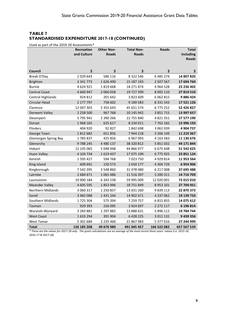## **TABLE 7 STANDARDISED EXPENDITURE 2017-18 (CONTINUED)**

Used as part of the 2019-20 Assessments\*

|                             | <b>Recreation</b> | <b>Other Non-</b> | <b>Total Non-</b> | <b>Roads</b>  | <b>Total</b> |
|-----------------------------|-------------------|-------------------|-------------------|---------------|--------------|
|                             | and Culture       | <b>Roads</b>      | <b>Roads</b>      |               | including    |
|                             |                   |                   |                   |               | <b>Roads</b> |
|                             |                   |                   |                   |               |              |
| Council                     | \$                | \$                | \$                | \$            | \$           |
| Break O'Day                 | 2029643           | 586 116           | 8 3 2 2 5 4 6     | 6 485 274     | 14 807 820   |
| <b>Brighton</b>             | 3 3 4 1 7 7 3     | 1626490           | 15 187 193        | 2 507 567     | 17 694 760   |
| <b>Burnie</b>               | 4624921           | 1819668           | 18 271 874        | 4 9 64 5 28   | 23 236 402   |
| <b>Central Coast</b>        | 4 660 947         | 2 060 058         | 19 727 399        | 8 092 110     | 27 819 510   |
| <b>Central Highlands</b>    | 924 812           | 201 642           | 3 823 609         | 6 0 6 2 8 1 5 | 9886424      |
| Circular Head               | 2 177 797         | 758 602           | 9 189 583         | 8 3 3 1 5 4 3 | 17 521 126   |
| Clarence                    | 12 047 303        | 5 355 643         | 45 651 574        | 6775252       | 52 426 827   |
| <b>Derwent Valley</b>       | 2 2 5 8 5 0 0     | 967 768           | 10 145 942        | 3 851 715     | 13 997 657   |
| Devonport                   | 5 795 941         | 2 390 266         | 22 755 840        | 4 821 351     | 27 577 190   |
| <b>Dorset</b>               | 1968 165          | 625 617           | 8 2 3 4 0 1 1     | 7762182       | 15 996 193   |
| <b>Flinders</b>             | 404 920           | 92 827            | 1842698           | 3 062 039     | 4 904 737    |
| George Town                 | 1812682           | 651856            | 7 944 218         | 3 266 149     | 11 210 367   |
| <b>Glamorgan Spring Bay</b> | 1785837           | 425 856           | 6 967 093         | 4 163 583     | 11 130 676   |
| Glenorchy                   | 9788245           | 4 4 8 0 1 3 7     | 38 320 812        | 5 851 032     | 44 171 844   |
| Hobart                      | 12 105 065        | 5 048 948         | 44 866 977        | 6 675 648     | 51 542 625   |
| <b>Huon Valley</b>          | 4 104 734         | 1619437           | 17 075 199        | 6775925       | 23 851 124   |
| Kentish                     | 1595427           | 594 768           | 7 023 750         | 4 9 29 8 14   | 11 953 564   |
| King Island                 | 609 691           | 150 573           | 2 650 177         | 4 304 729     | 6954906      |
| Kingborough                 | 7 542 395         | 3 548 860         | 31 478 480        | 6 217 008     | 37 695 488   |
| Latrobe                     | 2 684 671         | 1065486           | 11 516 397        | 3 200 311     | 14 716 709   |
| Launceston                  | 19 900 184        | 6 343 538         | 59 995 009        | 12 020 001    | 72 015 010   |
| <b>Meander Valley</b>       | 4 605 595         | 1853996           | 18 751 849        | 8 953 101     | 27 704 951   |
| <b>Northern Midlands</b>    | 3 060 317         | 1 250 857         | 13 031 260        | 9 839 113     | 22 870 373   |
| Sorell                      | 3 482 088         | 1 431 244         | 14 902 671        | 4 237 062     | 19 139 733   |
| Southern Midlands           | 1725304           | 575 394           | 7 259 757         | 6 815 855     | 14 075 612   |
| Tasman                      | 929 393           | 226 095           | 3 9 2 4 6 9 7     | 2 272 117     | 6 196 814    |
| Waratah-Wynyard             | 3 283 881         | 1 297 882         | 13 888 631        | 5 896 112     | 19 784 744   |
| <b>West Coast</b>           | 1633294           | 391 904           | 6 428 225         | 3 011 131     | 9 439 356    |
| West Tamar                  | 5 301 684         | 2 235 460         | 21 867 983        | 5 377 016     | 27 244 999   |
| Total                       | 126 185 208       | 49 676 989        | 491 045 457       | 166 522 082   | 657 567 539  |

*\* These are the values for 2017-18 only. The grant calculations use an average of the most recent three years' values (i.e. 2015-16, 2016-17 & 2017-18)*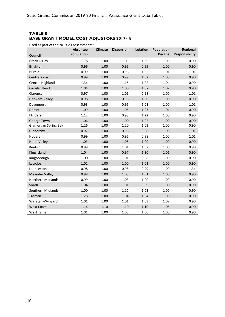## <span id="page-13-0"></span>**TABLE 8 BASE GRANT MODEL COST ADJUSTORS 2017-18**

Used as part of the 2019-20 Assessments\*

| part or tric<br>Council     | <b>Absentee</b><br><b>Population</b> | <b>Climate</b> | <b>Dispersion</b> | Isolation | Population<br><b>Decline</b> | Regional<br><b>Responsibility</b> |
|-----------------------------|--------------------------------------|----------------|-------------------|-----------|------------------------------|-----------------------------------|
| Break O'Day                 | 1.18                                 | 1.00           | 1.05              | 1.09      | 1.00                         | 0.90                              |
| <b>Brighton</b>             | 0.96                                 | 1.00           | 0.96              | 0.99      | 1.00                         | 0.90                              |
| <b>Burnie</b>               | 0.99                                 | 1.00           | 0.96              | 1.02      | 1.01                         | 1.01                              |
| <b>Central Coast</b>        | 0.99                                 | 1.00           | 0.99              | 1.02      | 1.00                         | 0.90                              |
| <b>Central Highlands</b>    | 1.34                                 | 1.00           | 1.15              | 1.02      | 1.04                         | 0.90                              |
| Circular Head               | 1.04                                 | 1.00           | 1.00              | 1.07      | 1.02                         | 0.90                              |
| Clarence                    | 0.97                                 | 1.00           | 1.01              | 0.98      | 1.00                         | 1.01                              |
| <b>Derwent Valley</b>       | 0.98                                 | 1.00           | 0.98              | 1.00      | 1.00                         | 0.90                              |
| Devonport                   | 0.98                                 | 1.00           | 0.96              | 1.01      | 1.00                         | 1.01                              |
| Dorset                      | 1.09                                 | 1.00           | 1.05              | 1.03      | 1.04                         | 0.90                              |
| Flinders                    | 1.12                                 | 1.00           | 0.98              | 1.22      | 1.00                         | 0.90                              |
| George Town                 | 1.06                                 | 1.00           | 1.00              | 1.02      | 1.00                         | 0.90                              |
| <b>Glamorgan Spring Bay</b> | 1.26                                 | 1.00           | 1.20              | 1.03      | 1.00                         | 0.90                              |
| Glenorchy                   | 0.97                                 | 1.00           | 0.96              | 0.98      | 1.00                         | 1.01                              |
| Hobart                      | 0.99                                 | 1.00           | 0.96              | 0.98      | 1.00                         | 1.01                              |
| <b>Huon Valley</b>          | 1.03                                 | 1.00           | 1.05              | 1.00      | 1.00                         | 0.90                              |
| Kentish                     | 0.99                                 | 1.00           | 1.01              | 1.02      | 1.00                         | 0.90                              |
| King Island                 | 1.04                                 | 1.00           | 0.97              | 1.30      | 1.01                         | 0.90                              |
| Kingborough                 | 1.00                                 | 1.00           | 1.01              | 0.98      | 1.00                         | 0.90                              |
| Latrobe                     | 1.02                                 | 1.00           | 1.00              | 1.01      | 1.00                         | 0.90                              |
| Launceston                  | 0.98                                 | 1.00           | 0.98              | 0.99      | 1.00                         | 1.34                              |
| <b>Meander Valley</b>       | 0.98                                 | 1.00           | 1.08              | 1.01      | 1.00                         | 0.90                              |
| Northern Midlands           | 0.99                                 | 1.00           | 1.03              | 1.00      | 1.00                         | 0.90                              |
| Sorell                      | 1.04                                 | 1.00           | 1.01              | 0.99      | 1.00                         | 0.90                              |
| Southern Midlands           | 1.00                                 | 1.00           | 1.12              | 1.03      | 1.00                         | 0.90                              |
| Tasman                      | 1.28                                 | 1.00           | 1.04              | 1.04      | 1.00                         | 0.90                              |
| Waratah-Wynyard             | 1.01                                 | 1.00           | 1.01              | 1.03      | 1.02                         | 0.90                              |
| <b>West Coast</b>           | 1.14                                 | 1.10           | 1.10              | 1.10      | 1.05                         | 0.90                              |
| West Tamar                  | 1.01                                 | 1.00           | 1.05              | 1.00      | 1.00                         | 0.90                              |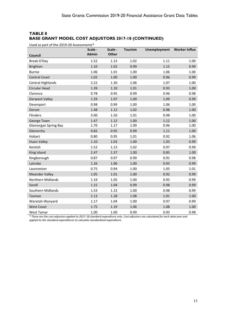## **TABLE 8 BASE GRANT MODEL COST ADJUSTORS 2017-18 (CONTINUED)**

Used as part of the 2019-20 Assessments\*

|                             | Scale -      | Scale -      | <b>Tourism</b> | <b>Unemployment</b> | <b>Worker Influx</b> |
|-----------------------------|--------------|--------------|----------------|---------------------|----------------------|
| Council                     | <b>Admin</b> | <b>Other</b> |                |                     |                      |
| Break O'Day                 | 1.52         | 1.13         | 1.02           | 1.11                | 1.00                 |
| <b>Brighton</b>             | 1.10         | 1.02         | 0.99           | 1.15                | 0.99                 |
| <b>Burnie</b>               | 1.06         | 1.01         | 1.00           | 1.06                | 1.00                 |
| <b>Central Coast</b>        | 1.02         | 1.00         | 1.00           | 0.96                | 0.99                 |
| <b>Central Highlands</b>    | 2.22         | 1.30         | 1.06           | 1.07                | 1.00                 |
| Circular Head               | 1.39         | 1.10         | $1.01\,$       | 0.93                | 1.00                 |
| Clarence                    | 0.78         | 0.95         | 0.99           | 0.96                | 0.98                 |
| <b>Derwent Valley</b>       | 1.29         | 1.07         | 1.00           | 1.09                | 0.99                 |
| Devonport                   | 0.98         | 0.99         | 1.00           | 1.06                | 1.00                 |
| Dorset                      | 1.48         | 1.12         | 1.02           | 0.98                | 1.00                 |
| Flinders                    | 3.00         | 1.50         | 1.01           | 0.98                | 1.00                 |
| George Town                 | 1.47         | 1.12         | 1.00           | 1.12                | 1.00                 |
| <b>Glamorgan Spring Bay</b> | 1.70         | 1.17         | 1.09           | 0.96                | 1.00                 |
| Glenorchy                   | 0.82         | 0.95         | 0.99           | 1.11                | 1.00                 |
| Hobart                      | 0.80         | 0.95         | 1.01           | 0.92                | 1.06                 |
| <b>Huon Valley</b>          | 1.10         | 1.03         | 1.00           | 1.03                | 0.99                 |
| Kentish                     | 1.52         | 1.13         | 1.02           | 0.97                | 0.99                 |
| King Island                 | 2.47         | 1.37         | 1.00           | 0.85                | 1.00                 |
| Kingborough                 | 0.87         | 0.97         | 0.99           | 0.91                | 0.98                 |
| Latrobe                     | 1.26         | 1.06         | 1.00           | 0.93                | 0.99                 |
| Launceston                  | 0.75         | 0.94         | 1.00           | 1.05                | 1.01                 |
| <b>Meander Valley</b>       | 1.05         | 1.01         | 1.00           | 0.92                | 0.99                 |
| Northern Midlands           | 1.19         | 1.05         | 1.00           | 0.95                | 0.99                 |
| Sorell                      | 1.15         | 1.04         | 0.99           | 0.98                | 0.99                 |
| Southern Midlands           | 1.53         | 1.13         | 1.00           | 0.98                | 0.99                 |
| Tasman                      | 2.13         | 1.28         | 1.08           | 1.01                | 1.00                 |
| Waratah-Wynyard             | 1.17         | 1.04         | 1.00           | 0.97                | 0.99                 |
| <b>West Coast</b>           | 1.75         | 1.19         | 1.06           | 1.08                | 1.00                 |
| <b>West Tamar</b>           | 1.00         | 1.00         | 0.99           | 0.93                | 0.98                 |

*\* These are the cost adjustors applied to 2017-18 standard expenditure only. Cost adjustors are calculated for each data year and applied to the standard expenditures to calculate standardised expenditure.*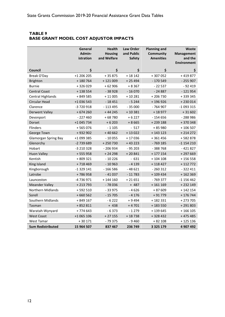#### <span id="page-15-0"></span>**TABLE 9 BASE GRANT MODEL COST ADJUSTOR IMPACTS**

|                             | General<br>Admin-<br>istration | <b>Health</b><br><b>Housing</b><br>and Welfare | <b>Law Order</b><br>and Public<br><b>Safety</b> | <b>Planning and</b><br>Community<br><b>Amenities</b> | Waste<br><b>Management</b><br>and the<br><b>Environment</b> |
|-----------------------------|--------------------------------|------------------------------------------------|-------------------------------------------------|------------------------------------------------------|-------------------------------------------------------------|
| Council                     | \$                             | \$                                             | \$                                              | \$                                                   | \$                                                          |
| Break O'Day                 | +1 206 205                     | $+35875$                                       | $+18142$                                        | +307052                                              | +419877                                                     |
| <b>Brighton</b>             | $+180764$                      | $+121009$                                      | $+25494$                                        | $-170549$                                            | $-255907$                                                   |
| <b>Burnie</b>               | +326029                        | $+62906$                                       | $+8367$                                         | $-22537$                                             | $-92419$                                                    |
| <b>Central Coast</b>        | +138554                        | $-38928$                                       | $-16070$                                        | $-24887$                                             | $-121954$                                                   |
| <b>Central Highlands</b>    | + 849 585                      | $+11005$                                       | $+10281$                                        | +206730                                              | +339345                                                     |
| Circular Head               | +1 036 543                     | $-18451$                                       | $-5244$                                         | +196926                                              | $+230014$                                                   |
| Clarence                    | -3 720 918                     | $-113495$                                      | $-35000$                                        | $-764907$                                            | $-1093315$                                                  |
| <b>Derwent Valley</b>       | $+674260$                      | $+44245$                                       | $+10381$                                        | +18977                                               | $+31602$                                                    |
| Devonport                   | $-227460$                      | +68780                                         | $+6227$                                         | $-154656$                                            | -288986                                                     |
| Dorset                      | +1 045 734                     | $+6203$                                        | $+8665$                                         | +239 188                                             | +370348                                                     |
| Flinders                    | +565076                        | $-1105$                                        | $-517$                                          | +85980                                               | +106507                                                     |
| George Town                 | +932902                        | $+40662$                                       | $+13022$                                        | $+ 143 123$                                          | $+214272$                                                   |
| <b>Glamorgan Spring Bay</b> | +1 099 385                     | $-10055$                                       | $+17036$                                        | +361456                                              | +582878                                                     |
| Glenorchy                   | -2 739 689                     | +250730                                        | $+43223$                                        | $-769$ 185                                           | $-1$ 154 210                                                |
| Hobart                      | -3 210 328                     | $-206934$                                      | $-95203$                                        | $-388768$                                            | $-421827$                                                   |
| <b>Huon Valley</b>          | $+555958$                      | $+24298$                                       | $+20841$                                        | $+ 177 154$                                          | +297669                                                     |
| Kentish                     | +809321                        | $-10226$                                       | $-631$                                          | $+104108$                                            | +156558                                                     |
| King Island                 | +718469                        | $-10963$                                       | $-4139$                                         | $+118427$                                            | $+112772$                                                   |
| Kingborough                 | $-1329141$                     | $-166586$                                      | $-48621$                                        | $-260312$                                            | $-322411$                                                   |
| Latrobe                     | +786958                        | $-41037$                                       | $-11783$                                        | $+109434$                                            | $+162369$                                                   |
| Launceston                  | -4 736 971                     | $+ 144 160$                                    | $+21651$                                        | $-769377$                                            | $-1$ 156 462                                                |
| <b>Meander Valley</b>       | $+213793$                      | $-78036$                                       | $+ 487$                                         | $+161169$                                            | +232 149                                                    |
| <b>Northern Midlands</b>    | $+592510$                      | $-33975$                                       | $-4626$                                         | + 87 609                                             | $+142154$                                                   |
| Sorell                      | $+660562$                      | $-15705$                                       | $-4176$                                         | $+91779$                                             | +176744                                                     |
| Southern Midlands           | $+849167$                      | $-6222$                                        | $+9494$                                         | +182331                                              | $+273705$                                                   |
| Tasman                      | +852811                        | $+438$                                         | $+4701$                                         | +183 550                                             | +291803                                                     |
| Waratah-Wynyard             | $+774643$                      | $-6373$                                        | $-1279$                                         | +139645                                              | $+166105$                                                   |
| <b>West Coast</b>           | +1 065 106                     | $+27155$                                       | $+18738$                                        | +328432                                              | $+475485$                                                   |
| West Tamar                  | $+30171$                       | $-79375$                                       | $-9460$                                         | $+82108$                                             | +125136                                                     |
| <b>Sum Redistributed</b>    | 15 964 507                     | 837 467                                        | 236 749                                         | 3 3 2 5 1 7 9                                        | 4 907 492                                                   |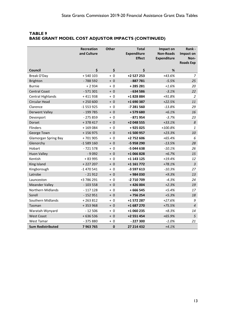|                             | Recreation<br>and Culture | <b>Other</b> | <b>Total</b><br><b>Expenditure</b><br><b>Effect</b> | Impact on<br><b>Non-Roads</b><br><b>Expenditure</b> | Rank -<br>Impact on<br>Non-<br><b>Roads Exp</b> |
|-----------------------------|---------------------------|--------------|-----------------------------------------------------|-----------------------------------------------------|-------------------------------------------------|
| Council                     | \$                        | \$           | \$                                                  | %                                                   |                                                 |
| Break O'Day                 | $+540103$                 | $+0$         | +2 527 253                                          | +43.6%                                              | $\overline{7}$                                  |
| <b>Brighton</b>             | $-788592$                 | $+0$         | - 887 781                                           | $-5.5%$                                             | 25                                              |
| <b>Burnie</b>               | $+2934$                   | $+0$         | +285281                                             | $+1.6%$                                             | 20                                              |
| <b>Central Coast</b>        | $-571301$                 | $+0$         | $-634586$                                           | $-3.1%$                                             | 22                                              |
| <b>Central Highlands</b>    | $+411938$                 | $+0$         | +1 828 884                                          | $+91.8%$                                            | $\overline{2}$                                  |
| Circular Head               | $+250600$                 | $+0$         | +1 690 387                                          | $+22.5%$                                            | 11                                              |
| Clarence                    | $-1553925$                | $+0$         | -7 281 560                                          | $-13.8%$                                            | 29                                              |
| <b>Derwent Valley</b>       | $-199785$                 | $+0$         | +579680                                             | $+6.1%$                                             | 16                                              |
| Devonport                   | $-275859$                 | $+0$         | $-871954$                                           | $-3.7%$                                             | 23                                              |
| <b>Dorset</b>               | $+378417$                 | $+0$         | +2 048 555                                          | $+33.1%$                                            | 8                                               |
| Flinders                    | +169084                   | $+0$         | +925025                                             | $+100.8%$                                           | $\mathbf{1}$                                    |
| George Town                 | $+156975$                 | $+0$         | +1 500 957                                          | $+23.3%$                                            | 10                                              |
| <b>Glamorgan Spring Bay</b> | +701905                   | $+0$         | +2 752 606                                          | $+65.4%$                                            | 6                                               |
| Glenorchy                   | $-1589160$                | $+0$         | -5 958 290                                          | $-13.5%$                                            | 28                                              |
| Hobart                      | $-721578$                 | $+0$         | -5 044 638                                          | $-10.1%$                                            | 26                                              |
| <b>Huon Valley</b>          | $-9092$                   | $+0$         | +1 066 828                                          | $+6.7%$                                             | 15                                              |
| Kentish                     | + 83 995                  | + 0          | +1 143 125                                          | $+19.4%$                                            | 12                                              |
| King Island                 | $+227207$                 | $+0$         | +1 161 772                                          | $+78.1%$                                            | $\mathfrak{Z}$                                  |
| Kingborough                 | $-1470541$                | $+0$         | -3 597 613                                          | $-10.3%$                                            | 27                                              |
| Latrobe                     | $-21912$                  | $+0$         | +984030                                             | $+9.3%$                                             | 13                                              |
| Launceston                  | +3 786 291                | $+0$         | -2 710 709                                          | $-4.3%$                                             | 24                                              |
| <b>Meander Valley</b>       | $-103558$                 | $+0$         | +426 004                                            | $+2.3%$                                             | 19                                              |
| Northern Midlands           | $-117128$                 | $+0$         | $+666545$                                           | $+5.4%$                                             | 17                                              |
| Sorell                      | $-152951$                 | $+ 0$        | +756254                                             | $+5.3%$                                             | 18                                              |
| Southern Midlands           | +263812                   | $+0$         | +1 572 287                                          | $+27.6%$                                            | 9                                               |
| Tasman                      | +353968                   | $+0$         | +1 687 270                                          | $+75.5%$                                            | $\overline{4}$                                  |
| Waratah-Wynyard             | $-12506$                  | $+0$         | +1 060 235                                          | $+8.3%$                                             | 14                                              |
| <b>West Coast</b>           | +636536                   | $+0$         | +2 551 454                                          | $+65.9%$                                            | 5                                               |
| <b>West Tamar</b>           | $-375880$                 | + 0          | $-227300$                                           | $-1.0%$                                             | 21                                              |
| <b>Sum Redistributed</b>    | 7963765                   | $\mathbf 0$  | 27 214 432                                          | $+4.1%$                                             |                                                 |

#### **TABLE 9 BASE GRANT MODEL COST ADJUSTOR IMPACTS (CONTINUED)**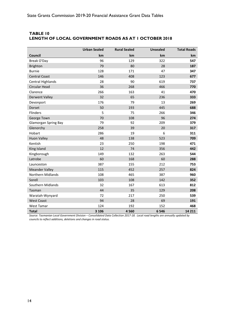|                             | <b>Urban Sealed</b> | <b>Rural Sealed</b> | <b>Unsealed</b> | <b>Total Roads</b> |
|-----------------------------|---------------------|---------------------|-----------------|--------------------|
| Council                     | km                  | km                  | km              | <b>km</b>          |
| Break O'Day                 | 96                  | 129                 | 322             | 547                |
| <b>Brighton</b>             | 79                  | 80                  | 28              | 187                |
| <b>Burnie</b>               | 128                 | 171                 | 47              | 347                |
| <b>Central Coast</b>        | 146                 | 408                 | 123             | 677                |
| <b>Central Highlands</b>    | 28                  | 90                  | 619             | 737                |
| Circular Head               | 36                  | 268                 | 466             | 770                |
| Clarence                    | 266                 | 163                 | 41              | 470                |
| <b>Derwent Valley</b>       | 32                  | 65                  | 236             | 333                |
| Devonport                   | 176                 | 79                  | 13              | 269                |
| Dorset                      | 50                  | 193                 | 445             | 688                |
| Flinders                    | 5                   | 75                  | 266             | 346                |
| George Town                 | 70                  | 108                 | 96              | 274                |
| <b>Glamorgan Spring Bay</b> | 79                  | 92                  | 209             | 379                |
| Glenorchy                   | 258                 | 39                  | 20              | 317                |
| Hobart                      | 286                 | 19                  | 6               | 311                |
| <b>Huon Valley</b>          | 48                  | 138                 | 523             | 709                |
| Kentish                     | 23                  | 250                 | 198             | 471                |
| King Island                 | 12                  | 74                  | 356             | 442                |
| Kingborough                 | 149                 | 132                 | 263             | 544                |
| Latrobe                     | 60                  | 168                 | 60              | 288                |
| Launceston                  | 387                 | 155                 | 212             | 753                |
| <b>Meander Valley</b>       | 115                 | 452                 | 257             | 824                |
| Northern Midlands           | 108                 | 465                 | 387             | 960                |
| Sorell                      | 103                 | 108                 | 142             | 352                |
| Southern Midlands           | 32                  | 167                 | 613             | 812                |
| Tasman                      | 44                  | 35                  | 129             | 208                |
| Waratah-Wynyard             | 72                  | 217                 | 250             | 539                |
| <b>West Coast</b>           | 94                  | 28                  | 69              | 191                |
| <b>West Tamar</b>           | 124                 | 192                 | 152             | 468                |
| <b>Total</b>                | 3 1 0 6             | 4560                | 6 5 4 6         | 14 211             |

#### <span id="page-17-0"></span>**TABLE 10 LENGTH OF LOCAL GOVERNMENT ROADS AS AT 1 OCTOBER 2018**

*Source: Tasmanian Local Government Division – Consolidated Data Collection 2017-18. Local road lengths are annually updated by councils to reflect additions, deletions and changes in road status.*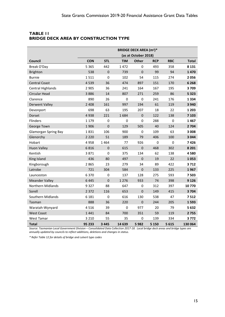|                             | <b>BRIDGE DECK AREA (m<sup>2</sup>)*</b> |                |             |              |             |             |              |  |
|-----------------------------|------------------------------------------|----------------|-------------|--------------|-------------|-------------|--------------|--|
|                             | (as at October 2018)                     |                |             |              |             |             |              |  |
| Council                     | <b>CON</b>                               | <b>STL</b>     | <b>TIM</b>  | <b>Other</b> | <b>RCP</b>  | <b>RBC</b>  | <b>Total</b> |  |
| Break O'Day                 | 5 3 6 5                                  | 442            | 1472        | 0            | 493         | 358         | 8 1 3 1      |  |
| <b>Brighton</b>             | 538                                      | $\mathbf 0$    | 739         | $\mathbf 0$  | 99          | 94          | 1470         |  |
| <b>Burnie</b>               | 1511                                     | $\mathbf 0$    | 102         | 54           | 115         | 274         | 2056         |  |
| <b>Central Coast</b>        | 4539                                     | 36             | 474         | 897          | 151         | 170         | 6 2 6 8      |  |
| Central Highlands           | 2 9 0 5                                  | 36             | 241         | 164          | 167         | 195         | 3709         |  |
| Circular Head               | 3886                                     | 14             | 807         | 271          | 259         | 86          | 5 3 2 3      |  |
| Clarence                    | 890                                      | 26             | $\mathbf 0$ | $\mathbf 0$  | 241         | 176         | 1334         |  |
| <b>Derwent Valley</b>       | 2 4 0 8                                  | 161            | 997         | 194          | 61          | 119         | 3 9 4 0      |  |
| Devonport                   | 698                                      | 63             | 195         | 207          | 18          | 22          | 1 2 0 3      |  |
| Dorset                      | 4938                                     | 221            | 1684        | $\pmb{0}$    | 122         | 138         | 7 1 0 3      |  |
| <b>Flinders</b>             | 1 1 7 9                                  | 0              | $\mathbf 0$ | $\mathbf 0$  | 288         | 0           | 1467         |  |
| George Town                 | 1906                                     | $\mathbf 0$    | 129         | 505          | 40          | 124         | 2 7 0 4      |  |
| <b>Glamorgan Spring Bay</b> | 1831                                     | 106            | 900         | $\mathbf 0$  | 109         | 63          | 3 0 0 8      |  |
| Glenorchy                   | 2 2 2 0                                  | 51             | 189         | 79           | 406         | 100         | 3044         |  |
| Hobart                      | 4958                                     | 1464           | 77          | 926          | $\mathbf 0$ | $\mathbf 0$ | 7426         |  |
| <b>Huon Valley</b>          | 6816                                     | $\mathbf 0$    | 615         | $\pmb{0}$    | 468         | 302         | 8 2 0 1      |  |
| Kentish                     | 3871                                     | $\mathbf 0$    | 375         | 134          | 62          | 138         | 4580         |  |
| King Island                 | 436                                      | 80             | 497         | $\mathbf 0$  | 19          | 22          | 1053         |  |
| Kingborough                 | 2865                                     | 23             | 279         | 34           | 89          | 422         | 3712         |  |
| Latrobe                     | 721                                      | 304            | 584         | $\mathbf 0$  | 133         | 225         | 1967         |  |
| Launceston                  | 6370                                     | 0              | 137         | 128          | 275         | 593         | 7503         |  |
| <b>Meander Valley</b>       | 6445                                     | $\overline{0}$ | 1 2 7 6     | 933          | 74          | 398         | 9 1 2 6      |  |
| Northern Midlands           | 9327                                     | 88             | 647         | 0            | 312         | 397         | 10770        |  |
| Sorell                      | 2 3 7 2                                  | 116            | 653         | $\mathbf 0$  | 149         | 415         | 3704         |  |
| Southern Midlands           | 6 1 8 1                                  | $\mathbf 0$    | 616         | 130          | 538         | 47          | 7512         |  |
| Tasman                      | 888                                      | 36             | 220         | $\mathbf 0$  | 244         | 205         | 1593         |  |
| Waratah-Wynyard             | 4516                                     | 39             | $\mathbf 0$ | 977          | 20          | 79          | 5632         |  |
| <b>West Coast</b>           | 1441                                     | 84             | 700         | 351          | 59          | 119         | 2755         |  |
| <b>West Tamar</b>           | 3 2 1 0                                  | 55             | 35          | 0            | 139         | 334         | 3772         |  |
| <b>Total</b>                | 95 233                                   | 3 4 4 5        | 14 639      | 5982         | 5 1 5 0     | 5615        | 130 064      |  |

#### <span id="page-18-0"></span>**TABLE 11 BRIDGE DECK AREA BY CONSTRUCTION TYPE**

*Source: Tasmanian Local Government Division – Consolidated Data Collection 2017-18. Local bridge deck areas and bridge types are annually updated by councils to reflect additions, deletions and changes in status.* 

*\* Refer Table 12 for details of bridge and culvert type codes*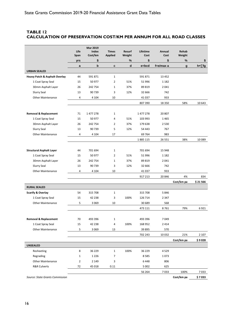#### <span id="page-19-0"></span>**TABLE 12 CALCULATION OF PRESERVATION COST/KM PER ANNUM FOR ALL ROAD CLASSES**

|                                          | Life<br>Span | <b>Mar 2019</b><br>Index<br>Cost/km | <b>Times</b><br><b>Applied</b> | Resurf<br>Weight | Lifetime<br>Cost | Annual<br>Cost | Rehab<br>Weight |               |
|------------------------------------------|--------------|-------------------------------------|--------------------------------|------------------|------------------|----------------|-----------------|---------------|
|                                          | yrs          | \$                                  |                                | ℅                | \$               | \$             | $\%$            | \$            |
|                                          | a            | $\mathbf b$                         | c                              | d                | e=bcd            | f=e/max a      | $\mathbf{g}$    | $h = \sum fg$ |
| <b>URBAN SEALED</b>                      |              |                                     |                                |                  |                  |                |                 |               |
| <b>Heavy Patch &amp; Asphalt Overlay</b> | 44           | 591871                              | $\mathbf{1}$                   |                  | 591 871          | 13 4 52        |                 |               |
| 1 Coat Spray Seal                        | 15           | 50 977                              | $\overline{2}$                 | 51%              | 51 996           | 1 1 8 2        |                 |               |
| 30mm Asphalt Layer                       | 26           | 242 754                             | $\mathbf{1}$                   | 37%              | 89 819           | 2041           |                 |               |
| Slurry Seal                              | 13           | 90739                               | 3                              | 12%              | 32 666           | 742            |                 |               |
| <b>Other Maintenance</b>                 | 4            | 4 1 0 4                             | 10                             |                  | 41 037           | 933            |                 |               |
|                                          |              |                                     |                                |                  | 807 390          | 18 3 5 0       | 58%             | 10 643        |
|                                          |              |                                     |                                |                  |                  |                |                 |               |
| <b>Removal &amp; Replacement</b>         | 71           | 1 477 278                           | 1                              |                  | 1 477 278        | 20 807         |                 |               |
| 1 Coat Spray Seal                        | 15           | 50 977                              | 4                              | 51%              | 103 993          | 1465           |                 |               |
| 30mm Asphalt Layer                       | 26           | 242 754                             | $\overline{2}$                 | 37%              | 179 638          | 2 5 3 0        |                 |               |
| Slurry Seal                              | 13           | 90739                               | 5                              | 12%              | 54 443           | 767            |                 |               |
| <b>Other Maintenance</b>                 | 4            | 4 1 0 4                             | 17                             |                  | 69 764           | 983            |                 |               |
|                                          |              |                                     |                                |                  | 1885 115         | 26 551         | 38%             | 10 0 89       |
| <b>Structural Asphalt Layer</b>          | 44           | 701 694                             | $\mathbf{1}$                   |                  | 701 694          | 15 948         |                 |               |
| 1 Coat Spray Seal                        | 15           | 50 977                              | $\overline{2}$                 | 51%              | 51 996           | 1 1 8 2        |                 |               |
| 30mm Asphalt Layer                       | 26           | 242 754                             | $\mathbf{1}$                   | 37%              | 89 819           | 2041           |                 |               |
| <b>Slurry Seal</b>                       | 13           | 90 739                              | 3                              | 12%              | 32 666           | 742            |                 |               |
| <b>Other Maintenance</b>                 | 4            | 4 1 0 4                             | 10                             |                  | 41 037           | 933            |                 |               |
|                                          |              |                                     |                                |                  | 917 213          | 20 846         | 4%              | 834           |
|                                          |              |                                     |                                |                  |                  |                | Cost/km pa      | \$21566       |
| <b>RURAL SEALED</b>                      |              |                                     |                                |                  |                  |                |                 |               |
| <b>Scarify &amp; Overlay</b>             | 54           | 315 708                             | 1                              |                  | 315 708          | 5846           |                 |               |
| 1 Coat Spray Seal                        | 15           | 42 2 38                             | 3                              | 100%             | 126 714          | 2 3 4 7        |                 |               |
| <b>Other Maintenance</b>                 | 5            | 3 0 6 9                             | 10                             |                  | 30 689           | 568            |                 |               |
|                                          |              |                                     |                                |                  | 473 111          | 8761           | 79%             | 6921          |
|                                          |              |                                     |                                |                  |                  |                |                 |               |
| <b>Removal &amp; Replacement</b>         | 70           | 493 396                             | 1                              |                  | 493 396          | 7049           |                 |               |
| 1 Coat Spray Seal                        | 15           | 42 2 38                             | 4                              | 100%             | 168 952          | 2 4 1 4        |                 |               |
| <b>Other Maintenance</b>                 | 5            | 3 0 6 9                             | 13                             |                  | 39 895           | 570            |                 |               |
|                                          |              |                                     |                                |                  | 702 243          | 10 0 32        | 21%             | 2 1 0 7       |
|                                          |              |                                     |                                |                  |                  |                | Cost/km pa      | \$9028        |
| <b>UNSEALED</b>                          |              |                                     |                                |                  |                  |                |                 |               |
| Resheeting                               | 8            | 36 229                              | 1                              | 100%             | 36 229           | 4529           |                 |               |
| Regrading                                | $\mathbf 1$  | 1 2 2 6                             | $\overline{7}$                 |                  | 8585             | 1073           |                 |               |
| <b>Other Maintenance</b>                 | 2            | 2 1 4 9                             | 3                              |                  | 6 4 4 8          | 806            |                 |               |
| <b>R&amp;R Culverts</b>                  | 72           | 45 018                              | 0.11                           |                  | 5 0 0 2          | 625            |                 |               |
|                                          |              |                                     |                                |                  | 56 264           | 7033           | 100%            | 7033          |
| Source: State Grants Commission          |              |                                     |                                |                  |                  |                | Cost/km pa      | \$7033        |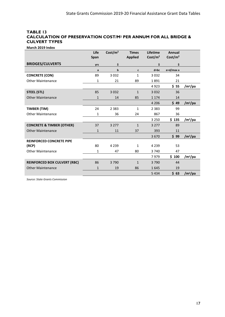#### <span id="page-20-0"></span>**TABLE 13 CALCULATION OF PRESERVATION COST/M2 PER ANNUM FOR ALL BRIDGE & CULVERT TYPES**

**March 2019 Index**

|                                      | Life<br>Span | Cost/m <sup>2</sup> | <b>Times</b><br><b>Applied</b> | Lifetime<br>Cost/m <sup>2</sup> | Annual<br>Cost/m <sup>2</sup> |                     |
|--------------------------------------|--------------|---------------------|--------------------------------|---------------------------------|-------------------------------|---------------------|
| <b>BRIDGES/CULVERTS</b>              | yrs          | \$                  |                                | \$                              | \$                            |                     |
|                                      | a            | b                   | C                              | $d = bc$                        | e=d/max a                     |                     |
| <b>CONCRETE (CON)</b>                | 89           | 3 0 3 2             | 1                              | 3 0 3 2                         | 34                            |                     |
| <b>Other Maintenance</b>             | 1            | 21                  | 89                             | 1891                            | 21                            |                     |
|                                      |              |                     |                                | 4923                            | \$55                          | /m <sup>2</sup> /pa |
| <b>STEEL (STL)</b>                   | 85           | 3 0 3 2             | $\mathbf{1}$                   | 3 0 3 2                         | 36                            |                     |
| <b>Other Maintenance</b>             | $\mathbf{1}$ | 14                  | 85                             | 1 1 7 4                         | 14                            |                     |
|                                      |              |                     |                                | 4 2 0 6                         | \$49                          | /m <sup>2</sup> /pa |
| TIMBER (TIM)                         | 24           | 2 3 8 3             | $\mathbf{1}$                   | 2 3 8 3                         | 99                            |                     |
| <b>Other Maintenance</b>             | 1            | 36                  | 24                             | 867                             | 36                            |                     |
|                                      |              |                     |                                | 3 2 5 0                         | \$135                         | /m <sup>2</sup> /pa |
| <b>CONCRETE &amp; TIMBER (OTHER)</b> | 37           | 3 2 7 7             | $\mathbf{1}$                   | 3 2 7 7                         | 89                            |                     |
| <b>Other Maintenance</b>             | $\mathbf{1}$ | 11                  | 37                             | 393                             | 11                            |                     |
|                                      |              |                     |                                | 3670                            | \$99                          | /m <sup>2</sup> /pa |
| <b>REINFORCED CONCRETE PIPE</b>      |              |                     |                                |                                 |                               |                     |
| (RCP)                                | 80           | 4 2 3 9             | $\mathbf{1}$                   | 4 2 3 9                         | 53                            |                     |
| <b>Other Maintenance</b>             | 1            | 47                  | 80                             | 3740                            | 47                            |                     |
|                                      |              |                     |                                | 7979                            | \$100                         | /m <sup>2</sup> /pa |
| <b>REINFORCED BOX CULVERT (RBC)</b>  | 86           | 3790                | $\mathbf{1}$                   | 3790                            | 44                            |                     |
| <b>Other Maintenance</b>             | $\mathbf{1}$ | 19                  | 86                             | 1645                            | 19                            |                     |
|                                      |              |                     |                                | 5 4 3 4                         | \$63                          | /m <sup>2</sup> /pa |

*Source: State Grants Commission*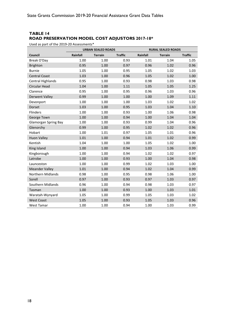## <span id="page-21-0"></span>**TABLE 14 ROAD PRESERVATION MODEL COST ADJUSTORS 2017-18\***

Used as part of the 2019-20 Assessments\*

|                             | <b>URBAN SEALED ROADS</b> |                |                | <b>RURAL SEALED ROADS</b> |                |                |  |
|-----------------------------|---------------------------|----------------|----------------|---------------------------|----------------|----------------|--|
| Council                     | Rainfall                  | <b>Terrain</b> | <b>Traffic</b> | Rainfall                  | <b>Terrain</b> | <b>Traffic</b> |  |
| Break O'Day                 | 1.00                      | 1.00           | 0.93           | 1.01                      | 1.04           | 1.05           |  |
| <b>Brighton</b>             | 0.95                      | 1.00           | 0.97           | 0.96                      | 1.02           | 0.96           |  |
| <b>Burnie</b>               | 1.05                      | 1.00           | 0.95           | 1.05                      | 1.02           | 1.03           |  |
| <b>Central Coast</b>        | 1.03                      | 1.00           | 0.96           | 1.05                      | 1.02           | 1.00           |  |
| Central Highlands           | 0.95                      | 1.00           | 0.93           | 0.98                      | 1.03           | 0.98           |  |
| Circular Head               | 1.04                      | 1.00           | 1.11           | 1.05                      | 1.05           | 1.25           |  |
| Clarence                    | 0.95                      | 1.00           | 0.95           | 0.96                      | 1.03           | 0.96           |  |
| <b>Derwent Valley</b>       | 0.99                      | 1.00           | 1.00           | 1.00                      | 1.09           | 1.11           |  |
| Devonport                   | 1.00                      | 1.00           | 1.00           | 1.03                      | 1.02           | 1.02           |  |
| Dorset                      | 1.03                      | 1.00           | 0.95           | 1.03                      | 1.04           | 1.10           |  |
| Flinders                    | 1.00                      | 1.00           | 0.93           | 1.00                      | 1.06           | 0.98           |  |
| George Town                 | 1.00                      | 1.00           | 0.94           | 1.00                      | 1.04           | 1.04           |  |
| <b>Glamorgan Spring Bay</b> | 1.00                      | 1.00           | 0.93           | 0.99                      | 1.04           | 0.96           |  |
| Glenorchy                   | 0.99                      | 1.00           | 0.95           | 1.02                      | 1.02           | 0.96           |  |
| Hobart                      | 1.00                      | 1.01           | 0.97           | 1.05                      | 1.01           | 0.96           |  |
| <b>Huon Valley</b>          | 1.01                      | 1.00           | 0.94           | 1.01                      | 1.02           | 0.99           |  |
| Kentish                     | 1.04                      | 1.00           | 1.00           | 1.05                      | 1.02           | 1.00           |  |
| King Island                 | 1.00                      | 1.00           | 0.94           | 1.03                      | 1.06           | 0.99           |  |
| Kingborough                 | 1.00                      | 1.00           | 0.94           | 1.02                      | 1.02           | 0.97           |  |
| Latrobe                     | 1.00                      | 1.00           | 0.93           | 1.00                      | 1.04           | 0.98           |  |
| Launceston                  | 1.00                      | 1.00           | 0.99           | 1.02                      | 1.03           | 1.00           |  |
| <b>Meander Valley</b>       | 1.01                      | 1.00           | 0.94           | 1.02                      | 1.04           | 0.99           |  |
| <b>Northern Midlands</b>    | 0.98                      | 1.00           | 0.95           | 0.98                      | 1.06           | 1.00           |  |
| Sorell                      | 0.97                      | 1.00           | 0.93           | 0.97                      | 1.03           | 0.97           |  |
| Southern Midlands           | 0.96                      | 1.00           | 0.94           | 0.98                      | 1.03           | 0.97           |  |
| Tasman                      | 1.00                      | 1.00           | 0.93           | 1.00                      | 1.03           | 1.01           |  |
| Waratah-Wynyard             | 1.05                      | 1.00           | 0.99           | 1.05                      | 1.03           | 1.02           |  |
| <b>West Coast</b>           | 1.05                      | 1.00           | 0.93           | 1.05                      | 1.03           | 0.96           |  |
| <b>West Tamar</b>           | 1.00                      | 1.00           | 0.94           | 1.00                      | 1.03           | 0.99           |  |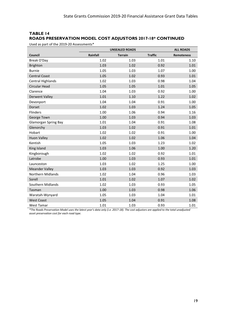## **TABLE 14 ROADS PRESERVATION MODEL COST ADJUSTORS 2017-18\* CONTINUED**

Used as part of the 2019-20 Assessments\*

|                             | <b>UNSEALED ROADS</b> |                | <b>ALL ROADS</b> |                   |
|-----------------------------|-----------------------|----------------|------------------|-------------------|
| Council                     | Rainfall              | <b>Terrain</b> | <b>Traffic</b>   | <b>Remoteness</b> |
| Break O'Day                 | 1.02                  | 1.03           | 1.01             | 1.10              |
| <b>Brighton</b>             | 1.03                  | 1.02           | 0.92             | 1.01              |
| <b>Burnie</b>               | 1.05                  | 1.03           | 1.07             | 1.00              |
| <b>Central Coast</b>        | 1.05                  | 1.02           | 0.93             | 1.01              |
| <b>Central Highlands</b>    | 1.02                  | 1.03           | 0.98             | 1.04              |
| <b>Circular Head</b>        | 1.05                  | 1.05           | 1.01             | 1.05              |
| Clarence                    | 1.04                  | 1.03           | 0.92             | 1.00              |
| <b>Derwent Valley</b>       | 1.01                  | 1.10           | 1.22             | 1.02              |
| Devonport                   | 1.04                  | 1.04           | 0.91             | 1.00              |
| Dorset                      | 1.02                  | 1.03           | 1.24             | 1.05              |
| Flinders                    | 1.00                  | 1.06           | 0.94             | 1.16              |
| George Town                 | 1.00                  | 1.03           | 0.94             | 1.03              |
| <b>Glamorgan Spring Bay</b> | 1.01                  | 1.04           | 0.91             | 1.08              |
| Glenorchy                   | 1.03                  | 1.02           | 0.91             | 1.01              |
| Hobart                      | 1.02                  | 1.02           | 0.91             | 1.00              |
| <b>Huon Valley</b>          | 1.02                  | 1.02           | 1.06             | 1.04              |
| Kentish                     | 1.05                  | 1.03           | 1.23             | 1.02              |
| King Island                 | 1.03                  | 1.06           | 1.00             | 1.20              |
| Kingborough                 | 1.02                  | 1.02           | 0.92             | 1.01              |
| Latrobe                     | 1.00                  | 1.03           | 0.93             | 1.01              |
| Launceston                  | 1.03                  | 1.02           | 1.25             | 1.00              |
| <b>Meander Valley</b>       | 1.03                  | 1.03           | 0.92             | 1.03              |
| Northern Midlands           | 1.02                  | 1.04           | 0.96             | 1.03              |
| Sorell                      | 1.01                  | 1.02           | 1.07             | 1.02              |
| Southern Midlands           | 1.02                  | 1.03           | 0.93             | 1.05              |
| Tasman                      | 1.00                  | 1.03           | 0.98             | 1.06              |
| Waratah-Wynyard             | 1.05                  | 1.03           | 1.04             | 1.01              |
| <b>West Coast</b>           | 1.05                  | 1.04           | 0.91             | 1.08              |
| <b>West Tamar</b>           | 1.01                  | 1.03           | 0.93             | 1.01              |

*\*The Roads Preservation Model uses the latest year's data only (i.e. 2017-18). The cost adjustors are applied to the total unadjusted asset preservation cost for each road type.*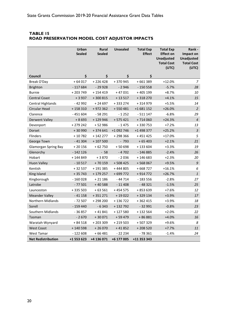## <span id="page-23-0"></span>**TABLE 15 ROAD PRESERVATION MODEL COST ADJUSTOR IMPACTS**

|                             | Urban<br><b>Sealed</b> | Rural<br><b>Sealed</b> | <b>Unsealed</b> | <b>Total Exp</b><br><b>Effect</b> | <b>Total Exp</b><br><b>Effect on</b><br><b>Unadjusted</b><br><b>Total Cost</b><br>(UTC) | Rank -<br>Impact on<br><b>Unadjusted</b><br><b>Total Cost</b><br>(UTC) |
|-----------------------------|------------------------|------------------------|-----------------|-----------------------------------|-----------------------------------------------------------------------------------------|------------------------------------------------------------------------|
| Council                     | \$                     | \$                     | \$              | \$                                |                                                                                         |                                                                        |
| Break O'Day                 | $+64017$               | $+226428$              | +370945         | +661389                           | $+12.0%$                                                                                | $\overline{z}$                                                         |
| <b>Brighton</b>             | $-117684$              | $-29928$               | $-2946$         | $-150558$                         | $-5.7%$                                                                                 | 28                                                                     |
| <b>Burnie</b>               | $+203749$              | +154419                | $+47031$        | +405199                           | $+8.7%$                                                                                 | 10                                                                     |
| <b>Central Coast</b>        | $+3937$                | $+300815$              | $+13517$        | +318270                           | $+4.1%$                                                                                 | 15                                                                     |
| <b>Central Highlands</b>    | - 42 992               | +24697                 | +333274         | + 314 979                         | $+5.5%$                                                                                 | 14                                                                     |
| Circular Head               | $+158310$              | +972 362               | $+550481$       | +1 681 152                        | $+26.0%$                                                                                | $\overline{2}$                                                         |
| Clarence                    | $-451604$              | $-58291$               | $-1252$         | $-511147$                         | $-6.8%$                                                                                 | 29                                                                     |
| <b>Derwent Valley</b>       | $+8693$                | +129946                | $+575421$       | $+714060$                         | $+24.3%$                                                                                | $\overline{4}$                                                         |
| Devonport                   | +279 242               | +52986                 | $-1475$         | +330753                           | $+7.2%$                                                                                 | 13                                                                     |
| Dorset                      | +30 990                | +374641                | +1 092 746      | +1 498 377                        | $+25.2%$                                                                                | $\ensuremath{\mathsf{3}}$                                              |
| <b>Flinders</b>             | $+10782$               | $+142277$              | +298366         | +451425                           | $+17.0%$                                                                                | 5                                                                      |
| George Town                 | $-41304$               | $+107500$              | $-793$          | $+65403$                          | $+2.1%$                                                                                 | 21                                                                     |
| <b>Glamorgan Spring Bay</b> | $+20156$               | $+62750$               | +50698          | +133604                           | $+3.3%$                                                                                 | 19                                                                     |
| Glenorchy                   | $-142$ 126             | $-58$                  | $-4702$         | $-146885$                         | $-2.4%$                                                                                 | 26                                                                     |
| Hobart                      | $+ 144849$             | $+3870$                | $-2036$         | +146683                           | $+2.3%$                                                                                 | 20                                                                     |
| <b>Huon Valley</b>          | $-10517$               | $+70159$               | $+508425$       | $+568067$                         | $+9.5%$                                                                                 | $\mathfrak g$                                                          |
| Kentish                     | + 32 537               | +191385                | +444805         | +668727                           | $+16.1%$                                                                                | 6                                                                      |
| King Island                 | $+35743$               | + 179 257              | $+699772$       | +914772                           | $+26.7%$                                                                                | $\mathbf{1}$                                                           |
| Kingborough                 | $-160028$              | + 21 186               | $-44714$        | $-183556$                         | $-2.8%$                                                                                 | 27                                                                     |
| Latrobe                     | $-77501$               | +40588                 | $-11408$        | $-48321$                          | $-1.5%$                                                                                 | 25                                                                     |
| Launceston                  | +335 503               | $+63561$               | $+454575$       | +853639                           | $+7.6%$                                                                                 | 12                                                                     |
| <b>Meander Valley</b>       | $-41158$               | $+351271$              | $+19022$        | +329 134                          | $+3.9%$                                                                                 | 17                                                                     |
| Northern Midlands           | $-72507$               | +298200                | +136722         | +362 415                          | +3.9%                                                                                   | 18                                                                     |
| Sorell                      | $-159440$              | $-6343$                | $+132792$       | $-32991$                          | $-0.8%$                                                                                 | 23                                                                     |
| Southern Midlands           | $-36857$               | $+41841$               | $+127580$       | +132 564                          | $+2.0%$                                                                                 | 22                                                                     |
| Tasman                      | $-2670$                | $+30071$               | + 59 479        | +86881                            | $+4.0%$                                                                                 | 16                                                                     |
| Waratah-Wynyard             | $+84518$               | $+203309$              | $+219503$       | +507329                           | +9.6%                                                                                   | 8                                                                      |
| <b>West Coast</b>           | $+140598$              | $+26070$               | $+41852$        | $+208520$                         | $+7.7%$                                                                                 | 11                                                                     |
| West Tamar                  | $-122608$              | +66481                 | $-22234$        | - 78 361                          | $-1.4%$                                                                                 | 24                                                                     |
| <b>Net Redistribution</b>   | +1 553 623             | +4 136 071             | +6 177 005      | +11 353 343                       |                                                                                         |                                                                        |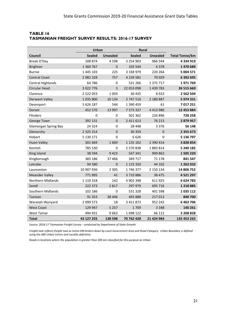|                             |               | <b>Urban</b>    |               | <b>Rural</b>    |                       |
|-----------------------------|---------------|-----------------|---------------|-----------------|-----------------------|
| Council                     | <b>Sealed</b> | <b>Unsealed</b> | <b>Sealed</b> | <b>Unsealed</b> | <b>Total Tonne/km</b> |
| Break O'Day                 | 108 874       | 4598            | 3 2 5 4 9 0 3 | 966 544         | 4 3 3 4 9 1 9         |
| <b>Brighton</b>             | 1 360 767     | $\mathbf 0$     | 103 544       | 6 3 7 8         | 1 470 689             |
| <b>Burnie</b>               | 1 445 103     | 225             | 3 338 979     | 220 264         | 5 004 571             |
| <b>Central Coast</b>        | 2 082 328     | 757             | 4 239 581     | 70 0 29         | 6 392 695             |
| Central Highlands           | 64786         | 0               | 531 266       | 1 375 717       | 1971769               |
| Circular Head               | 3 022 776     | 3               | 22 053 098    | 1 439 783       | 26 515 660            |
| Clarence                    | 2 5 2 2 0 5 3 | 1093            | 30 4 35       | 8923            | 2 562 504             |
| <b>Derwent Valley</b>       | 1035800       | 10 134          | 2 747 510     | 2 180 887       | 5974331               |
| Devonport                   | 5 626 187     | 544             | 1 390 459     | 61              | 7 017 251             |
| Dorset                      | 452 570       | 13 9 97         | 7 573 337     | 4 4 1 3 9 8 0   | 12 453 884            |
| <b>Flinders</b>             | 0             | 0               | 501 362       | 226 896         | 728 258               |
| George Town                 | 392 131       | $\mathbf{0}$    | 2 411 613     | 76 213          | 2879957               |
| <b>Glamorgan Spring Bay</b> | 24 3 24       | 0               | 28 4 48       | 3 3 7 6         | 56 148                |
| Glenorchy                   | 2 3 2 5 3 1 4 | $\Omega$        | 30 359        | $\Omega$        | 2 3 5 5 6 7 3         |
| Hobart                      | 5 130 171     | 0               | 6626          | 0               | 5 136 797             |
| <b>Huon Valley</b>          | 301 669       | 1669            | 1 135 102     | 2 390 414       | 3 828 854             |
| Kentish                     | 785 530       | 0               | 2 570 838     | 1883814         | 5 240 182             |
| King Island                 | 38 5 94       | 9423            | 547 341       | 909 862         | 1 505 220             |
| Kingborough                 | 383 186       | 37 4 66         | 349 717       | 71 178          | 841 547               |
| Latrobe                     | 94 580        | $\mathbf 0$     | 1 123 350     | 44 102          | 1 262 032             |
| Launceston                  | 10 907 936    | 2 3 0 5         | 1746377       | 2 150 134       | 14 806 752            |
| <b>Meander Valley</b>       | 771895        | 41              | 3710886       | 38 4 7 5        | 4 5 2 1 2 9 7         |
| Northern Midlands           | 1 110 318     | 142             | 4 902 398     | 611925          | 6624783               |
| Sorell                      | 222 373       | 2817            | 297 979       | 695 716         | 1 218 885             |
| Southern Midlands           | 102 186       | $\mathbf 0$     | 531 328       | 401 598         | 1 0 3 5 1 1 2         |
| Tasman                      | 91 3 5 3      | 38 4 4 6        | 493 888       | 217 013         | 840 700               |
| Waratah-Wynyard             | 2 099 573     | 18              | 3 4 1 1 8 7 3 | 952 242         | 6 463 706             |
| <b>West Coast</b>           | 129 947       | 5 2 5 7         | 1709          | 3 3 4 8         | 140 261               |
| <b>West Tamar</b>           | 494 931       | 9663            | 1698122       | 66 112          | 2 2 68 8 28           |
| Total                       | 43 127 255    | 138 598         | 70 762 428    | 21 424 984      | 135 453 265           |

#### <span id="page-24-0"></span>**TABLE 16 TASMANIAN FREIGHT SURVEY RESULTS: 2016-17 SURVEY**

*Source: 2016-17 Tasmanian Freight Survey - conducted by Department of State Growth.*

*Freight task reflects freight task as tonne-KM broken down by Local Government Area and Road Category. Urban Boundary is defined using the ABS Urban Centre and Locality definition.* 

*Roads in locations where the population is greater than 200 are classified for this purpose as Urban.*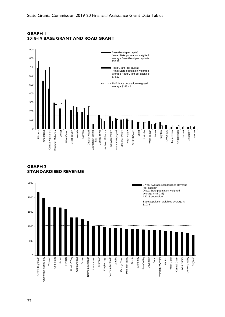

## <span id="page-25-0"></span>**GRAPH 1 2018-19 BASE GRANT AND ROAD GRANT**

<span id="page-25-1"></span>**GRAPH 2 STANDARDISED REVENUE**

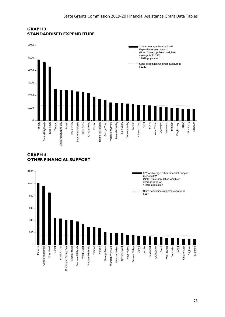

#### <span id="page-26-0"></span>**GRAPH 3 STANDARDISED EXPENDITURE**

## <span id="page-26-1"></span>**GRAPH 4 OTHER FINANCIAL SUPPORT**

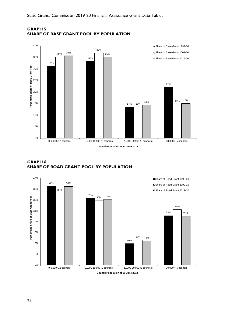

#### <span id="page-27-0"></span>**GRAPH 5 SHARE OF BASE GRANT POOL BY POPULATION**

#### <span id="page-27-1"></span>**GRAPH 6 SHARE OF ROAD GRANT POOL BY POPULATION**

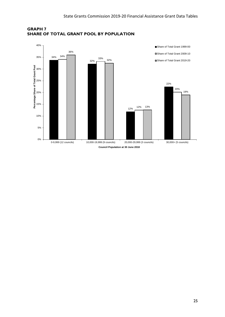

<span id="page-28-0"></span>**GRAPH 7 SHARE OF TOTAL GRANT POOL BY POPULATION**